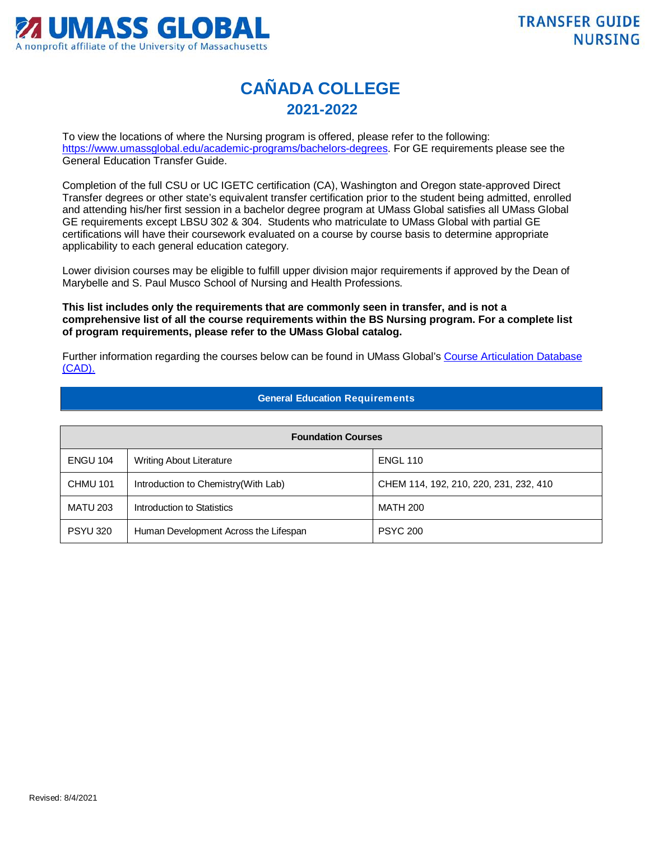

## **CAÑADA COLLEGE 2021-2022**

To view the locations of where the Nursing program is offered, please refer to the following: [https://www.umassglobal.edu/academic-programs/bachelors-degrees.](https://www.umassglobal.edu/academic-programs/bachelors-degrees) For GE requirements please see the General Education Transfer Guide.

Completion of the full CSU or UC IGETC certification (CA), Washington and Oregon state-approved Direct Transfer degrees or other state's equivalent transfer certification prior to the student being admitted, enrolled and attending his/her first session in a bachelor degree program at UMass Global satisfies all UMass Global GE requirements except LBSU 302 & 304. Students who matriculate to UMass Global with partial GE certifications will have their coursework evaluated on a course by course basis to determine appropriate applicability to each general education category.

Lower division courses may be eligible to fulfill upper division major requirements if approved by the Dean of Marybelle and S. Paul Musco School of Nursing and Health Professions.

**This list includes only the requirements that are commonly seen in transfer, and is not a comprehensive list of all the course requirements within the BS Nursing program. For a complete list of program requirements, please refer to the UMass Global catalog.**

Further information regarding the courses below can be found in UMass Global's [Course Articulation Database](http://services.umassglobal.edu/studentservices/TransferCredit/)  [\(CAD\).](http://services.umassglobal.edu/studentservices/TransferCredit/) 

## **General Education Requirements**

| <b>Foundation Courses</b> |                                       |                                        |  |
|---------------------------|---------------------------------------|----------------------------------------|--|
| <b>ENGU 104</b>           | <b>Writing About Literature</b>       | <b>ENGL 110</b>                        |  |
| <b>CHMU 101</b>           | Introduction to Chemistry (With Lab)  | CHEM 114, 192, 210, 220, 231, 232, 410 |  |
| <b>MATU 203</b>           | Introduction to Statistics            | <b>MATH 200</b>                        |  |
| <b>PSYU 320</b>           | Human Development Across the Lifespan | <b>PSYC 200</b>                        |  |